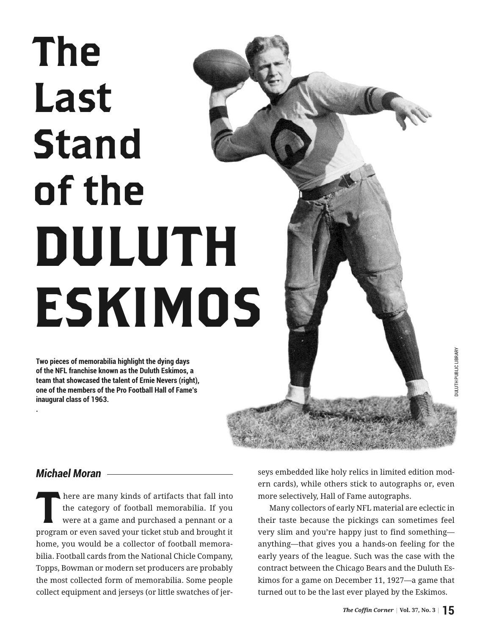## The Last Stand of the DULUTH ESKIMOS

**Two pieces of memorabilia highlight the dying days of the NFL franchise known as the Duluth Eskimos, a team that showcased the talent of Ernie Nevers (right), one of the members of the Pro Football Hall of Fame's inaugural class of 1963.**

*Michael Moran*

**.**

There are many kinds of artifacts that fall into<br>the category of football memorabilia. If you<br>were at a game and purchased a pennant or a the category of football memorabilia. If you were at a game and purchased a pennant or a program or even saved your ticket stub and brought it home, you would be a collector of football memorabilia. Football cards from the National Chicle Company, Topps, Bowman or modern set producers are probably the most collected form of memorabilia. Some people collect equipment and jerseys (or little swatches of jerseys embedded like holy relics in limited edition modern cards), while others stick to autographs or, even more selectively, Hall of Fame autographs.

Many collectors of early NFL material are eclectic in their taste because the pickings can sometimes feel very slim and you're happy just to find something anything—that gives you a hands-on feeling for the early years of the league. Such was the case with the contract between the Chicago Bears and the Duluth Eskimos for a game on December 11, 1927—a game that turned out to be the last ever played by the Eskimos.

DULUTH PUBLIC LIBRARY

DULUTH PUBLIC LIBRARY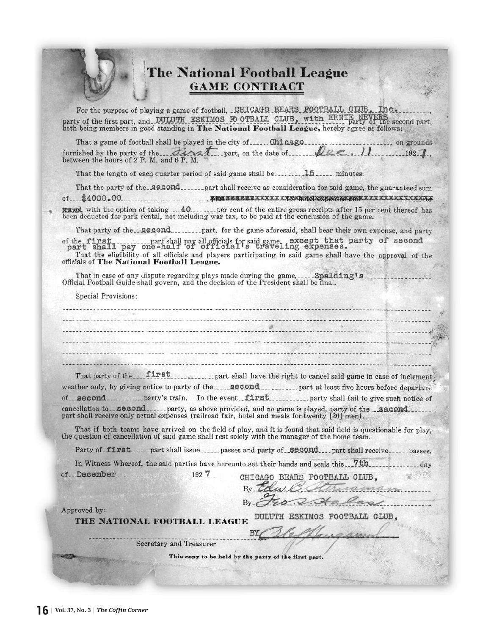|                                                                                                                                                                                                 | The National Football League<br><b>GAME CONTRACT</b>                                                                                                                                                                                                                                                                                                                                                                                                                                                                    |
|-------------------------------------------------------------------------------------------------------------------------------------------------------------------------------------------------|-------------------------------------------------------------------------------------------------------------------------------------------------------------------------------------------------------------------------------------------------------------------------------------------------------------------------------------------------------------------------------------------------------------------------------------------------------------------------------------------------------------------------|
|                                                                                                                                                                                                 | For the purpose of playing a game of football, CHICAGO BEARS FOOTBALL CIUB, Inc.<br>party of the first part, and DULUTH ESKIMOS FO OTBALL CLUB, with ERNIE NEVERS party of the second part,<br>both being members in good standing in The National Football League, hereby agree as follows;                                                                                                                                                                                                                            |
| That a game of football shall be played in the city of Chicago<br>between the hours of 2 P. M. and 6 P. M.                                                                                      | ----------, on grounds<br>furnished by the party of the First part, on the date of $\ell$ . 11 1927.                                                                                                                                                                                                                                                                                                                                                                                                                    |
| That the length of each quarter period of said game shall be ________ 15 _____ minutes.                                                                                                         |                                                                                                                                                                                                                                                                                                                                                                                                                                                                                                                         |
|                                                                                                                                                                                                 |                                                                                                                                                                                                                                                                                                                                                                                                                                                                                                                         |
| been deducted for park rental, not including war tax, to be paid at the conclusion of the game.                                                                                                 |                                                                                                                                                                                                                                                                                                                                                                                                                                                                                                                         |
| officials of The National Football League.                                                                                                                                                      | That party of the <b>second</b> part, for the game aforesaid, shall bear their own expense, and party<br>of the first  part shall pay all officials for said game. except that party of second part shall pay one-half of official's traveling expenses.<br>That the eligibility of all officials and players participating in said game shall have the approval of the                                                                                                                                                 |
| That in case of any dispute regarding plays made during the game,  Spalding's<br>Official Football Guide shall govern, and the decision of the President shall be final.<br>Special Provisions: |                                                                                                                                                                                                                                                                                                                                                                                                                                                                                                                         |
|                                                                                                                                                                                                 |                                                                                                                                                                                                                                                                                                                                                                                                                                                                                                                         |
|                                                                                                                                                                                                 | That party of the first first number of the state of independence of indement<br>weather only, by giving notice to party of the second  part at least five hours before departure<br>of __second__________party's train. In the event_first__________party shall fail to give such notice of<br>cancellation to _ <b>second</b> _____ party, as above provided, and no game is played, party of the _ <b>second</b> __<br>part shall receive only actual expenses (railroad fair, hotel and meals for twenty [20] men). |
| the question of cancellation of said game shall rest solely with the manager of the home team.                                                                                                  | That if both teams have arrived on the field of play, and it is found that said field is questionable for play,                                                                                                                                                                                                                                                                                                                                                                                                         |
|                                                                                                                                                                                                 | Party of firstpart shall issuepasses and party of _secondpart shall receivepasses.                                                                                                                                                                                                                                                                                                                                                                                                                                      |
| In Witness Whereof, the said parties have hereunto set their hands and seals this 7th<br>of December<br>$192 \t7$                                                                               | day<br>CHICAGO BEARS FOOTBALL CLUB.<br>$Bv$ <sub><math>\alpha</math></sub>                                                                                                                                                                                                                                                                                                                                                                                                                                              |
| Approved by:<br>THE NATIONAL FOOTBALL LEAGUE                                                                                                                                                    | DULUTH ESKIMOS FOOTBALL CLUB,                                                                                                                                                                                                                                                                                                                                                                                                                                                                                           |
| <b>Secretary and Treasurer</b>                                                                                                                                                                  |                                                                                                                                                                                                                                                                                                                                                                                                                                                                                                                         |
|                                                                                                                                                                                                 |                                                                                                                                                                                                                                                                                                                                                                                                                                                                                                                         |
|                                                                                                                                                                                                 | This copy to be held by the party of the first part.                                                                                                                                                                                                                                                                                                                                                                                                                                                                    |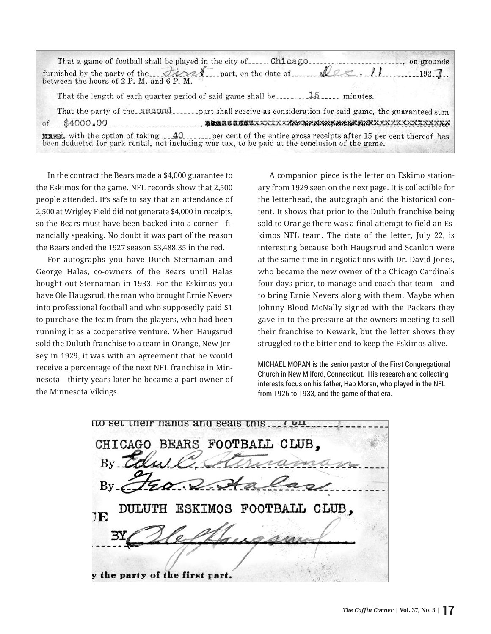| That a game of football shall be played in the city of<br>Chicago.                                                                                                                                                  | on grounds  |
|---------------------------------------------------------------------------------------------------------------------------------------------------------------------------------------------------------------------|-------------|
| furnished by the party of the  Final spart, on the date of between the hours of 2 P. M. and 6 P. M.<br>$Q_{\ell}$ . 11                                                                                              | $192 - 7$ . |
|                                                                                                                                                                                                                     |             |
| That the party of the second<br>part shall receive as consideration for said game, the guaranteed sum                                                                                                               |             |
| of\$4000.00                                                                                                                                                                                                         |             |
| <b>EXXEM</b> , with the option of taking 140 per cent of the entire gross receipts after 15 per cent thereof has<br>been deducted for park rental, not including war tax, to be paid at the conclusion of the game. |             |
|                                                                                                                                                                                                                     |             |

In the contract the Bears made a \$4,000 guarantee to the Eskimos for the game. NFL records show that 2,500 people attended. It's safe to say that an attendance of 2,500 at Wrigley Field did not generate \$4,000 in receipts, so the Bears must have been backed into a corner—financially speaking. No doubt it was part of the reason the Bears ended the 1927 season \$3,488.35 in the red.

For autographs you have Dutch Sternaman and George Halas, co-owners of the Bears until Halas bought out Sternaman in 1933. For the Eskimos you have Ole Haugsrud, the man who brought Ernie Nevers into professional football and who supposedly paid \$1 to purchase the team from the players, who had been running it as a cooperative venture. When Haugsrud sold the Duluth franchise to a team in Orange, New Jersey in 1929, it was with an agreement that he would receive a percentage of the next NFL franchise in Minnesota—thirty years later he became a part owner of the Minnesota Vikings.

A companion piece is the letter on Eskimo stationary from 1929 seen on the next page. It is collectible for the letterhead, the autograph and the historical content. It shows that prior to the Duluth franchise being sold to Orange there was a final attempt to field an Eskimos NFL team. The date of the letter, July 22, is interesting because both Haugsrud and Scanlon were at the same time in negotiations with Dr. David Jones, who became the new owner of the Chicago Cardinals four days prior, to manage and coach that team—and to bring Ernie Nevers along with them. Maybe when Johnny Blood McNally signed with the Packers they gave in to the pressure at the owners meeting to sell their franchise to Newark, but the letter shows they struggled to the bitter end to keep the Eskimos alive.

MICHAEL MORAN is the senior pastor of the First Congregational Church in New Milford, Connecticut. His research and collecting interests focus on his father, Hap Moran, who played in the NFL from 1926 to 1933, and the game of that era.

to set their hands and seals this.... CHICAGO BEARS FOOTBALL CLUB. man ی کی ESKIMOS FOOTBALL CLUB. JE the party of the first part.